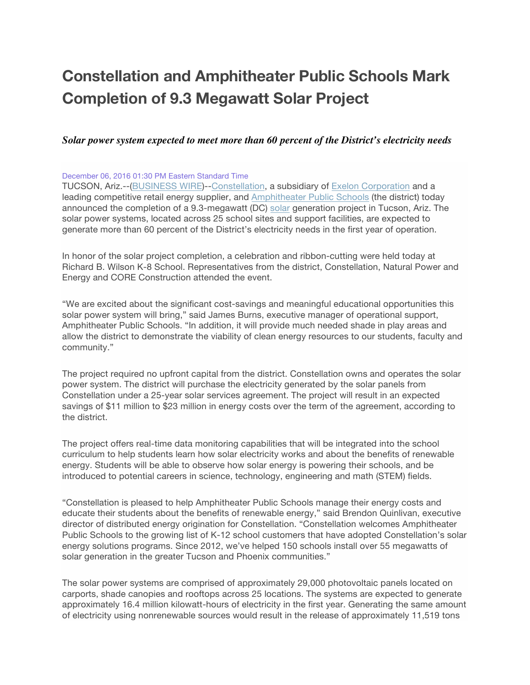# **Constellation and Amphitheater Public Schools Mark Completion of 9.3 Megawatt Solar Project**

# *Solar power system expected to meet more than 60 percent of the District's electricity needs*

#### December 06, 2016 01:30 PM Eastern Standard Time

TUCSON, Ariz.--(BUSINESS WIRE)--Constellation, a subsidiary of Exelon Corporation and a leading competitive retail energy supplier, and Amphitheater Public Schools (the district) today announced the completion of a 9.3-megawatt (DC) solar generation project in Tucson, Ariz. The solar power systems, located across 25 school sites and support facilities, are expected to generate more than 60 percent of the District's electricity needs in the first year of operation.

In honor of the solar project completion, a celebration and ribbon-cutting were held today at Richard B. Wilson K-8 School. Representatives from the district, Constellation, Natural Power and Energy and CORE Construction attended the event.

"We are excited about the significant cost-savings and meaningful educational opportunities this solar power system will bring," said James Burns, executive manager of operational support, Amphitheater Public Schools. "In addition, it will provide much needed shade in play areas and allow the district to demonstrate the viability of clean energy resources to our students, faculty and community."

The project required no upfront capital from the district. Constellation owns and operates the solar power system. The district will purchase the electricity generated by the solar panels from Constellation under a 25-year solar services agreement. The project will result in an expected savings of \$11 million to \$23 million in energy costs over the term of the agreement, according to the district.

The project offers real-time data monitoring capabilities that will be integrated into the school curriculum to help students learn how solar electricity works and about the benefits of renewable energy. Students will be able to observe how solar energy is powering their schools, and be introduced to potential careers in science, technology, engineering and math (STEM) fields.

"Constellation is pleased to help Amphitheater Public Schools manage their energy costs and educate their students about the benefits of renewable energy," said Brendon Quinlivan, executive director of distributed energy origination for Constellation. "Constellation welcomes Amphitheater Public Schools to the growing list of K-12 school customers that have adopted Constellation's solar energy solutions programs. Since 2012, we've helped 150 schools install over 55 megawatts of solar generation in the greater Tucson and Phoenix communities."

The solar power systems are comprised of approximately 29,000 photovoltaic panels located on carports, shade canopies and rooftops across 25 locations. The systems are expected to generate approximately 16.4 million kilowatt-hours of electricity in the first year. Generating the same amount of electricity using nonrenewable sources would result in the release of approximately 11,519 tons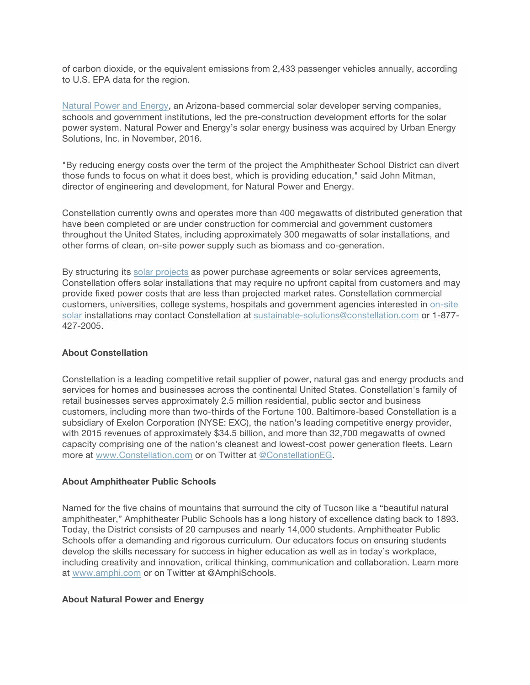of carbon dioxide, or the equivalent emissions from 2,433 passenger vehicles annually, according to U.S. EPA data for the region.

Natural Power and Energy, an Arizona-based commercial solar developer serving companies, schools and government institutions, led the pre-construction development efforts for the solar power system. Natural Power and Energy's solar energy business was acquired by Urban Energy Solutions, Inc. in November, 2016.

"By reducing energy costs over the term of the project the Amphitheater School District can divert those funds to focus on what it does best, which is providing education," said John Mitman, director of engineering and development, for Natural Power and Energy.

Constellation currently owns and operates more than 400 megawatts of distributed generation that have been completed or are under construction for commercial and government customers throughout the United States, including approximately 300 megawatts of solar installations, and other forms of clean, on-site power supply such as biomass and co-generation.

By structuring its solar projects as power purchase agreements or solar services agreements, Constellation offers solar installations that may require no upfront capital from customers and may provide fixed power costs that are less than projected market rates. Constellation commercial customers, universities, college systems, hospitals and government agencies interested in on-site solar installations may contact Constellation at sustainable-solutions@constellation.com or 1-877- 427-2005.

## **About Constellation**

Constellation is a leading competitive retail supplier of power, natural gas and energy products and services for homes and businesses across the continental United States. Constellation's family of retail businesses serves approximately 2.5 million residential, public sector and business customers, including more than two-thirds of the Fortune 100. Baltimore-based Constellation is a subsidiary of Exelon Corporation (NYSE: EXC), the nation's leading competitive energy provider, with 2015 revenues of approximately \$34.5 billion, and more than 32,700 megawatts of owned capacity comprising one of the nation's cleanest and lowest-cost power generation fleets. Learn more at www.Constellation.com or on Twitter at @ConstellationEG.

### **About Amphitheater Public Schools**

Named for the five chains of mountains that surround the city of Tucson like a "beautiful natural amphitheater," Amphitheater Public Schools has a long history of excellence dating back to 1893. Today, the District consists of 20 campuses and nearly 14,000 students. Amphitheater Public Schools offer a demanding and rigorous curriculum. Our educators focus on ensuring students develop the skills necessary for success in higher education as well as in today's workplace, including creativity and innovation, critical thinking, communication and collaboration. Learn more at www.amphi.com or on Twitter at @AmphiSchools.

#### **About Natural Power and Energy**